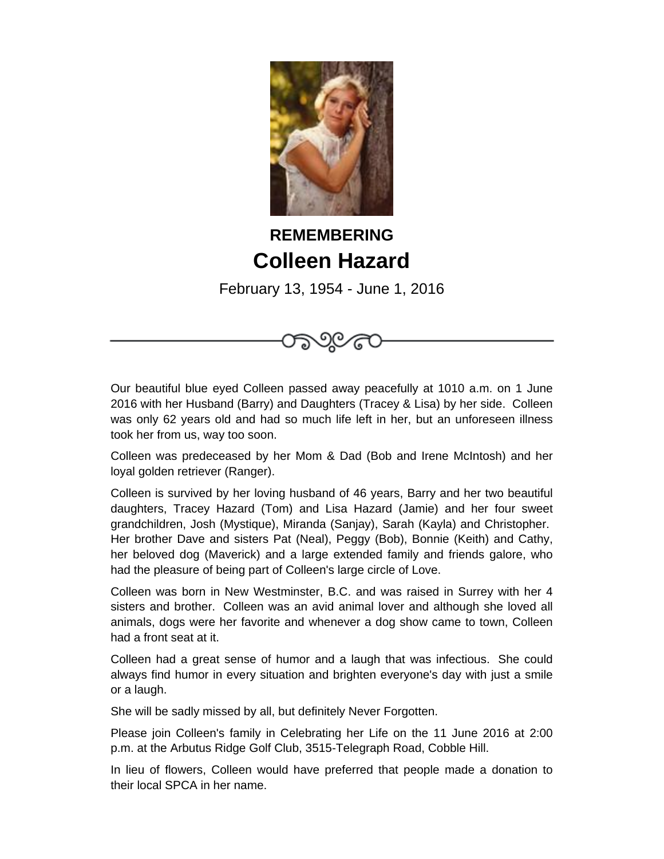

## **REMEMBERING Colleen Hazard**

February 13, 1954 - June 1, 2016

೧೦೬

Our beautiful blue eyed Colleen passed away peacefully at 1010 a.m. on 1 June 2016 with her Husband (Barry) and Daughters (Tracey & Lisa) by her side. Colleen was only 62 years old and had so much life left in her, but an unforeseen illness took her from us, way too soon.

Colleen was predeceased by her Mom & Dad (Bob and Irene McIntosh) and her loyal golden retriever (Ranger).

Colleen is survived by her loving husband of 46 years, Barry and her two beautiful daughters, Tracey Hazard (Tom) and Lisa Hazard (Jamie) and her four sweet grandchildren, Josh (Mystique), Miranda (Sanjay), Sarah (Kayla) and Christopher. Her brother Dave and sisters Pat (Neal), Peggy (Bob), Bonnie (Keith) and Cathy, her beloved dog (Maverick) and a large extended family and friends galore, who had the pleasure of being part of Colleen's large circle of Love.

Colleen was born in New Westminster, B.C. and was raised in Surrey with her 4 sisters and brother. Colleen was an avid animal lover and although she loved all animals, dogs were her favorite and whenever a dog show came to town, Colleen had a front seat at it.

Colleen had a great sense of humor and a laugh that was infectious. She could always find humor in every situation and brighten everyone's day with just a smile or a laugh.

She will be sadly missed by all, but definitely Never Forgotten.

Please join Colleen's family in Celebrating her Life on the 11 June 2016 at 2:00 p.m. at the Arbutus Ridge Golf Club, 3515-Telegraph Road, Cobble Hill.

In lieu of flowers, Colleen would have preferred that people made a donation to their local SPCA in her name.